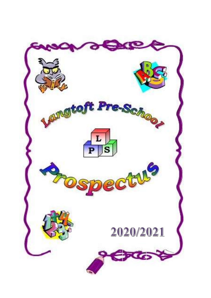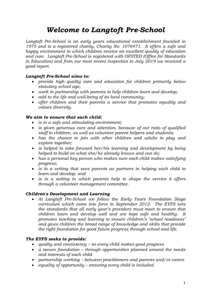# Welcome to Langtoft Pre-School

Langtoft Pre-School is an early years educational establishment founded in 1975 and is a registered charity, Charity No: 1076471. It offers a safe and happy environment in which children receive an excellent quality of education and care. Langtoft Pre-School is registered with OFSTED (Office for Standards in Education) and from our most recent inspection in July 2019 we received a good report.

# Langtoft Pre-School aims to:

- provide high quality care and education for children primarily below statutory school age;
- work in partnership with parents to help children learn and develop;
- add to the life and well-being of its local community;
- offer children and their parents a service that promotes equality and values diversity.

# We aim to ensure that each child:

- is in a safe and stimulating environment;
- is given generous care and attention, because of our ratio of qualified staff to children, as well as volunteer parent helpers and students;
- has the chance to join with other children and adults to play and explore together;
- is helped to take forward her/his learning and development by being helped to build on what she/he already knows and can do;
- has a personal key person who makes sure each child makes satisfying progress;
- is in a setting that sees parents as partners in helping each child to learn and develop; and
- is in a setting in which parents help to shape the service it offers through a volunteer management committee.

# Children's Development and Learning

 At Langtoft Pre-School we follow the Early Years Foundation Stage curriculum which came into force in September 2012. The EYFS sets the standards that all early year's providers must meet to ensure that children learn and develop well and are kept safe and healthy. It promotes teaching and learning to ensure children's 'school readiness' and gives children the broad range of knowledge and skills that provide the right foundation for good future progress through school and life.

# The EYFS seeks to provide:

- quality and consistency so every child makes good progress
- a secure foundation through opportunities planned around the needs and interests of each child
- partnership working between practitioners and parents and/or carers
- equality of opportunity ensuring every child is included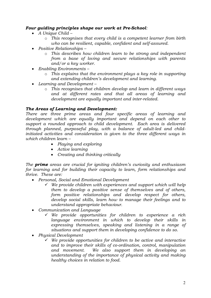# Four guiding principles shape our work at Pre-School:

- $\bullet$  A Unique Child
	- o This recognises that every child is a competent learner from birth who can be resilient, capable, confident and self-assured.
- Positive Relationships
	- o This describes how children learn to be strong and independent from a base of loving and secure relationships with parents and/or a key worker.
- Enabling Environments
	- o This explains that the environment plays a key role in supporting and extending children's development and learning.
- Learning and Development
	- o This recognises that children develop and learn in different ways and at different rates and that all areas of learning and development are equally important and inter-related.

# The Areas of Learning and Development:

There are three prime areas and four specific areas of learning and development which are equally important and depend on each other to support a rounded approach to child development. Each area is delivered through planned, purposeful play, with a balance of adult-led and childinitiated activities and consideration is given to the three different ways in which children learn –

- Playing and exploring
- Active learning
- Creating and thinking critically

The **prime** areas are crucial for igniting children's curiosity and enthusiasm for learning and for building their capacity to learn, form relationships and thrive. These are:

- Personal, Social and Emotional Development
	- $\checkmark$  We provide children with experiences and support which will help them to develop a positive sense of themselves and of others, form positive relationships and develop respect for others, develop social skills, learn how to manage their feelings and to understand appropriate behaviour.
- Communication and Language
	- $\checkmark$  We provide opportunities for children to experience a rich language environment in which to develop their skills in expressing themselves, speaking and listening in a range of situations and support them in developing confidence to do so.
- Physical Development
	- $\checkmark$  We provide opportunities for children to be active and interactive and to improve their skills of co-ordination, control, manipulation and movement. We also support them in developing an understanding of the importance of physical activity and making healthy choices in relation to food.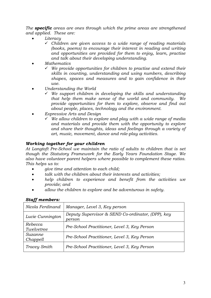The **specific** areas are ones through which the prime areas are strengthened and applied. These are:

- Literacy
	- $\checkmark$  Children are given access to a wide range of reading materials (books, poems) to encourage their interest in reading and writing and opportunities are provided for them to enjoy, learn, practise and talk about their developing understanding.
- Mathematics
	- $\checkmark$  We provide opportunities for children to practise and extend their skills in counting, understanding and using numbers, describing shapes, spaces and measures and to gain confidence in their use.
- Understanding the World
	- $\checkmark$  We support children in developing the skills and understanding that help them make sense of the world and community. We provide opportunities for them to explore, observe and find out about people, places, technology and the environment.
- Expressive Arts and Design
	- $\checkmark$  We allow children to explore and play with a wide range of media and materials and provide them with the opportunity to explore and share their thoughts, ideas and feelings through a variety of art, music, movement, dance and role-play activities.

# Working together for your children

At Langtoft Pre-School we maintain the ratio of adults to children that is set though the Statutory Framework for the Early Years Foundation Stage. We also have volunteer parent helpers where possible to complement these ratios. This helps us to:

- *give time and attention to each child*;
- talk with the children about their interests and activities;
- help children to experience and benefit from the activities we provide; and
- allow the children to explore and be adventurous in safety.

| <b>Staff members:</b> |  |
|-----------------------|--|
|-----------------------|--|

| Nicola Ferdinand      | Manager, Level 3, Key person                                |
|-----------------------|-------------------------------------------------------------|
| Lucie Cunnington      | Deputy Supervisor & SEND Co-ordinator, (DPP), key<br>person |
| Rebecca<br>Twelvetree | Pre-School Practitioner, Level 3, Key Person                |
| Suzanne<br>Chappell   | Pre-School Practitioner, Level 3, Key Person                |
| Tracey Smith          | Pre-School Practitioner, Level 3, Key Person                |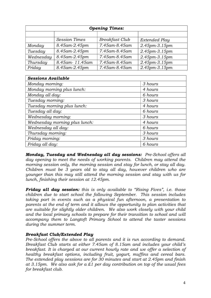| <b>Opening Times:</b> |                      |                       |                 |  |
|-----------------------|----------------------|-----------------------|-----------------|--|
|                       |                      |                       |                 |  |
|                       | <b>Session Times</b> | <b>Breakfast Club</b> | Extended Play   |  |
| Monday                | 8.45am-2.45pm        | 7.45am-8.45am         | 2.45pm-3.15pm   |  |
| Tuesday               | 8.45am-2.45pm        | 7.45am-8.45am         | 2.45pm-3.15pm   |  |
| Wednesday             | 8.45am-2.45pm        | 7.45am-8.45am         | 2.45pm-3.15pm   |  |
| Thursday              | 8.45am-11.45am       | 7.45am-8.45am         | $2.45pm-3.15pm$ |  |
| Friday                | $8.45$ am-2.45pm     | 7.45am-8.45am         | 2.45pm-3.15pm   |  |

| <b>Sessions Available</b>     |         |
|-------------------------------|---------|
| Monday morning:               | 3 hours |
| Monday morning plus lunch:    | 4 hours |
| Monday all day:               | 6 hours |
| Tuesday morning:              | 3 hours |
| Tuesday morning plus lunch:   | 4 hours |
| Tuesday all day:              | 6 hours |
| Wednesday morning:            | 3 hours |
| Wednesday morning plus lunch: | 4 hours |
| Wednesday all day:            | 6 hours |
| Thursday morning:             | 3 hours |
| Friday morning:               | 3 hours |
| Friday all day:               | 6 hours |

Monday, Tuesday and Wednesday all day sessions: Pre-School offers all day opening to meet the needs of working parents. Children may attend the morning session only, the morning session and stay for lunch, or stay all day. Children must be 3 years old to stay all day, however children who are younger than this may still attend the morning session and stay with us for lunch, finishing their session at 12.45pm.

**Friday all day session:** this is only available to "Rising Fives", i.e. those children due to start school the following September. This session includes taking part in events such as a physical fun afternoon, a presentation to parents at the end of term and it allows the opportunity to plan activities that are suitable for slightly older children. We also work closely with your child and the local primary schools to prepare for their transition to school and will accompany them to Langtoft Primary School to attend the taster sessions during the summer term.

# Breakfast Club/Extended Play

Pre-School offers the above to all parents and it is run according to demand. Breakfast Club starts at either 7.45am of 8.15am and includes your child's breakfast. It is charged at our current hourly rate and we offer a selection of healthy breakfast options, including fruit, yogurt, muffins and cereal bars. The extended play sessions are for 30 minutes and start at 2.45pm and finish at 3.15pm. We also ask for a £1 per day contribution on top of the usual fees for breakfast club.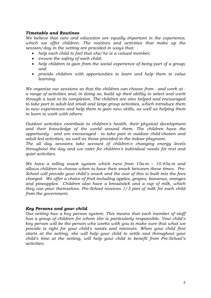## Timetable and Routines

We believe that care and education are equally important in the experience, which we offer children. The routines and activities that make up the session/day in the setting are provided in ways that:

- help each child to feel that she/he is a valued member;
- ensure the safety of each child;
- help children to gain from the social experience of being part of a group; and
- provide children with opportunities to learn and help them to value learning.

We organise our sessions so that the children can choose from - and work at a range of activities and, in doing so, build up their ability to select and work through a task to its completion. The children are also helped and encouraged to take part in adult-led small and large group activities, which introduce them to new experiences and help them to gain new skills, as well as helping them to learn to work with others.

Outdoor activities contribute to children's health, their physical development and their knowledge of the world around them. The children have the opportunity - and are encouraged - to take part in outdoor child-chosen and adult-led activities, as well as those provided in the indoor playroom.

The all day sessions take account of children's changing energy levels throughout the day and we cater for children's individual needs for rest and quiet activities.

We have a rolling snack system which runs from  $10a.m - 10.45a.m$  and allows children to choose when to have their snack between these times. Pre-School will provide your child's snack and the cost of this is built into the fees charged. We offer a choice of fruit including apples, grapes, bananas, oranges and pineapples. Children also have a breadstick and a cup of milk, which they can pour themselves. Pre-School receives 1/3 pint of milk for each child from the government.

# Key Persons and your child

Our setting has a key person system. This means that each member of staff has a group of children for whom she is particularly responsible. Your child's key person will be the person who works with you to make sure that what we provide is right for your child's needs and interests. When your child first starts at the setting, she will help your child to settle and throughout your child's time at the setting, will help your child to benefit from Pre-School's activities.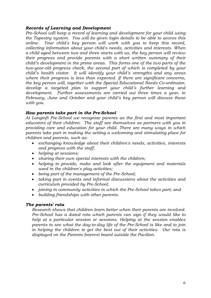## Records of Learning and Development

Pre-School will keep a record of learning and development for your child using the Tapestry system. You will be given login details to be able to access this online. Your child's key person will work with you to keep this record, collecting information about your child's needs, activities and interests. When a child aged between two and three starts with us, the key person will review their progress and provide parents with a short written summary of their child's development in the prime areas. This forms one of the two parts of the two-year-old progress check, the second part of which is completed by your child's health visitor. It will identify your child's strengths and any areas where their progress is less than expected. If there are significant concerns, the key person will, together with the Special Educational Needs Co-ordinator, develop a targeted plan to support your child's further learning and development. Further assessments are carried out three times a year, in February, June and October and your child's key person will discuss these with you.

## How parents take part in the Pre-School

At Langtoft Pre-School we recognise parents as the first and most important educators of their children. The staff see themselves as partners with you in providing care and education for your child. There are many ways in which parents take part in making the setting a welcoming and stimulating place for children and parents, such as:

- exchanging knowledge about their children's needs, activities, interests and progress with the staff;
- helping at sessions;
- sharing their own special interests with the children;
- helping to provide, make and look after the equipment and materials used in the children's play activities;
- being part of the management of the Pre-School;
- taking part in events and informal discussions about the activities and curriculum provided by Pre-School;
- joining in community activities in which the Pre-School takes part; and
- building friendships with other parents.

#### The parents' rota

Research shows that children learn better when their parents are involved. Pre-School has a dated rota which parents can sign if they would like to help at a particular session or sessions. Helping at the session enables parents to see what the day-to-day life of the Pre-School is like and to join in helping the children to get the best out of their activities. Our rota is displayed on the Parents Interest board outside the Pavilion.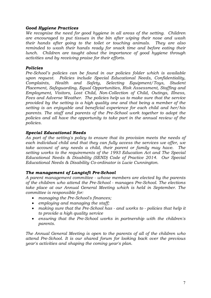## Good Hygiene Practices

We recognise the need for good hygiene in all areas of the setting. Children are encouraged to put tissues in the bin after wiping their nose and wash their hands after going to the toilet or touching animals. They are also reminded to wash their hands ready for snack time and before eating their lunch. Children are taught about the importance of good hygiene through activities and by receiving praise for their efforts.

## Policies

Pre-School's policies can be found in our policies folder which is available upon request. Policies include Special Educational Needs, Confidentiality, Complaints, Health and Safety, Selecting Equipment/Toys, Student Placement, Safeguarding, Equal Opportunities, Risk Assessment, Staffing and Employment, Visitors, Lost Child, Non-Collection of Child, Outings, Illness, Fees and Adverse Weather. The policies help us to make sure that the service provided by the setting is a high quality one and that being a member of the setting is an enjoyable and beneficial experience for each child and her/his parents. The staff and parents of the Pre-School work together to adopt the policies and all have the opportunity to take part in the annual review of the policies.

## Special Educational Needs

As part of the setting's policy to ensure that its provision meets the needs of each individual child and that they can fully access the services we offer, we take account of any needs a child, their parent or family may have. The setting works to the requirements of the 1993 Education Act and The Special Educational Needs & Disability (SEND) Code of Practice 2014. Our Special Educational Needs & Disability Co-ordinator is Lucie Cunnington.

#### The management of Langtoft Pre-School

A parent management committee - whose members are elected by the parents of the children who attend the Pre-School - manages Pre-School. The elections take place at our Annual General Meeting which is held in September. The committee is responsible for:

- managing the Pre-School's finances;
- employing and managing the staff;
- making sure that the Pre-School has and works to policies that help it to provide a high quality service
- ensuring that the Pre-School works in partnership with the children's parents.

The Annual General Meeting is open to the parents of all of the children who attend Pre-School. It is our shared forum for looking back over the previous year's activities and shaping the coming year's plan.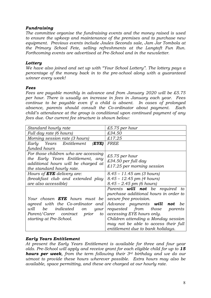## Fundraising

The committee organise the fundraising events and the money raised is used to ensure the upkeep and maintenance of the premises and to purchase new equipment. Previous events include Joules Seconds sale, Jam Jar Tombola at the Primary School Fete, selling refreshments at the Langtoft Fun Run. Forthcoming events are advertised at Pre-School and in the newsletter.

#### **Lottery**

We have also joined and set up with "Your School Lottery". The lottery pays a percentage of the money back in to the pre-school along with a guaranteed winner every week!

#### Fees

Fees are payable monthly in advance and from January 2020 will be £5.75 per hour. There is usually an increase in fees in January each year. Fees continue to be payable even if a child is absent. In cases of prolonged absence, parents should consult the Co-ordinator about payment. Each child's attendance at the group is conditional upon continued payment of any fees due. Our current fee structure is shown below:

| Standard hourly rate                      | £5.75 per hour                         |
|-------------------------------------------|----------------------------------------|
| Full day rate (6 hours)                   | £34.50                                 |
| Morning session rate (3 hours)            | £17.25                                 |
| Early Years Entitlement<br>(EYE)          | <i>FREE</i>                            |
| funded hours                              |                                        |
| For those children who are accessing      | £5.75 per hour                         |
| the Early Years Entitlement, any          |                                        |
| additional hours will be charged at       | £34.50 per full day                    |
| the standard hourly rate.                 | £17.25 per morning session             |
| Hours of <b>EYE</b> delivery are:         | $8.45 - 11.45$ am (3 hours)            |
| (breakfast club and extended play         | $8.45 - 12.45$ pm (4 hours)            |
| are also accessible)                      | $8.45 - 2.45$ pm (6 hours)             |
|                                           | Parents <b>will not</b> be required to |
|                                           | purchase additional hours in order to  |
| Your chosen <b>EYE</b> hours must be      | secure free provision.                 |
| agreed with the Co-ordinator and          | Advance payments <b>will not</b><br>be |
| be<br><i>indicated</i> on<br>will<br>your | requested from those parents           |
| Parent/Carer contract prior<br>to         | accessing EYE hours only.              |
| starting at Pre-School.                   | Children attending a Monday session    |
|                                           | may not be able to access their full   |
|                                           | entitlement due to bank holidays.      |

#### Early Years Entitlement

At present the Early Years Entitlement is available for three and four year olds. Pre-School will apply and receive grant for each eligible child for up to 15 **hours per week**, from the term following their  $3^{rd}$  birthday and we do our utmost to provide these hours wherever possible. Extra hours may also be available, space permitting, and these are charged at our hourly rate.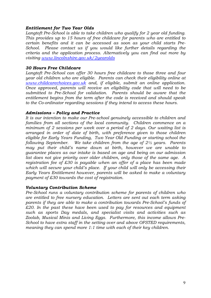#### Entitlement for Two Year Olds

Langtoft Pre-School is able to take children who qualify for 2 year old funding. This provides up to 15 hours of free childcare for parents who are entitled to certain benefits and it can be accessed as soon as your child starts Pre-School. Please contact us if you would like further details regarding the criteria and the application process. Alternatively you can find out more by visiting www.lincolnshire.gov.uk/2yearolds

#### 30 Hours Free Childcare

Langtoft Pre-School can offer 30 hours free childcare to those three and four year old children who are eligible. Parents can check their eligibility online at www.childcarechoices.gov.uk and, if eligible, submit an online application. Once approved, parents will receive an eligibility code that will need to be submitted to Pre-School for validation. Parents should be aware that the entitlement begins from the term after the code is received and should speak to the Co-ordinator regarding sessions if they intend to access these hours.

## Admissions – Policy and Practice

It is our intention to make our Pre-school genuinely accessible to children and families from all sections of the local community. Children commence on a minimum of 2 sessions per week over a period of 2 days. Our waiting list is arranged in order of date of birth, with preference given to those children eligible for Early Years Funding, Two Year Old Funding or starting school the following September. We take children from the age of  $2\frac{1}{2}$  years. Parents may put their child's name down at birth, however we are unable to guarantee places as our intake is based on age and being on our admission list does not give priority over older children, only those of the same age. A registration fee of £30 is payable when an offer of a place has been made which will secure your child's place. If your child will only be accessing their Early Years Entitlement however, parents will be asked to make a voluntary payment of £30 towards the cost of registration.

#### Voluntary Contribution Scheme

Pre-School runs a voluntary contribution scheme for parents of children who are entitled to free nursery education. Letters are sent out each term asking parents if they are able to make a contribution towards Pre-School's funds of £20. In the past these have been used to pay for resources and equipment such as sports Day medals, and specialist visits and activities such as Zoolab, Musical Minis and Living Eggs. Furthermore, this income allows Pre-School to have extra staff in the setting over and above OFSTED requirements, meaning they can spend more 1:1 time with each of their key children.